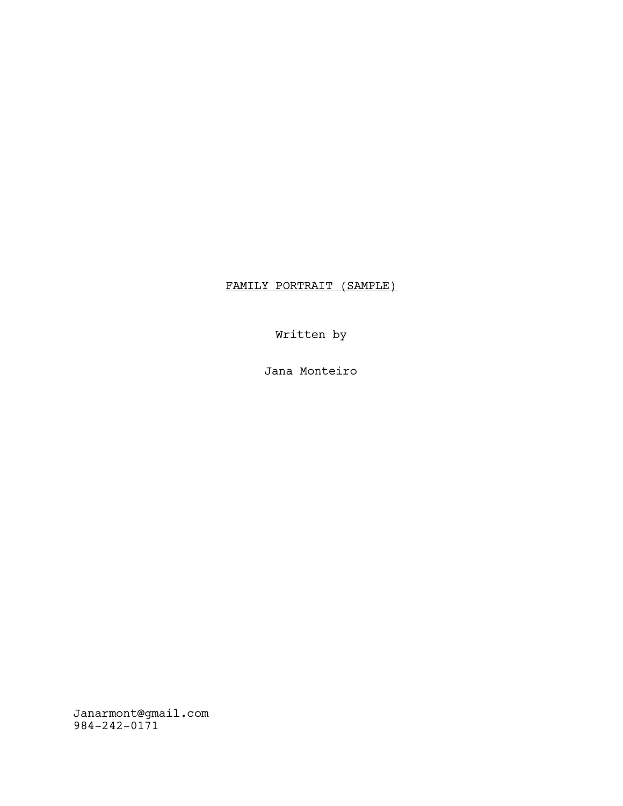# FAMILY PORTRAIT (SAMPLE)

Written by

Jana Monteiro

Janarmont@gmail.com 984-242-0171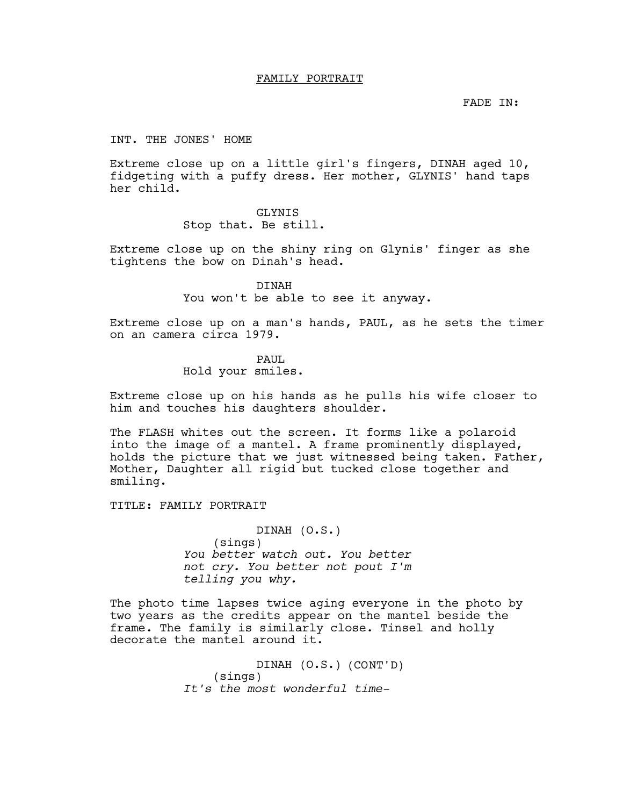### FAMILY PORTRAIT

FADE IN:

#### INT. THE JONES' HOME

Extreme close up on a little girl's fingers, DINAH aged 10, fidgeting with a puffy dress. Her mother, GLYNIS' hand taps her child.

## GLYNIS

Stop that. Be still.

Extreme close up on the shiny ring on Glynis' finger as she tightens the bow on Dinah's head.

> DINAH You won't be able to see it anyway.

Extreme close up on a man's hands, PAUL, as he sets the timer on an camera circa 1979.

> PAUL Hold your smiles.

Extreme close up on his hands as he pulls his wife closer to him and touches his daughters shoulder.

The FLASH whites out the screen. It forms like a polaroid into the image of a mantel. A frame prominently displayed, holds the picture that we just witnessed being taken. Father, Mother, Daughter all rigid but tucked close together and smiling.

TITLE: FAMILY PORTRAIT

DINAH (O.S.) (sings) You better watch out. You better not cry. You better not pout I'm telling you why.

The photo time lapses twice aging everyone in the photo by two years as the credits appear on the mantel beside the frame. The family is similarly close. Tinsel and holly decorate the mantel around it.

> DINAH (O.S.) (CONT'D) (sings) It's the most wonderful time-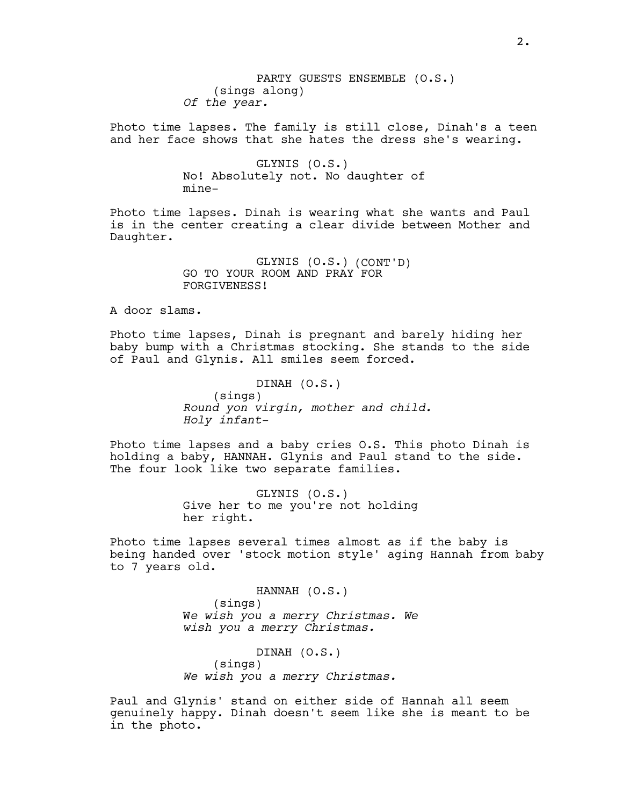PARTY GUESTS ENSEMBLE (O.S.) (sings along) Of the year.

Photo time lapses. The family is still close, Dinah's a teen and her face shows that she hates the dress she's wearing.

> GLYNIS (O.S.) No! Absolutely not. No daughter of mine-

Photo time lapses. Dinah is wearing what she wants and Paul is in the center creating a clear divide between Mother and Daughter.

> GLYNIS (O.S.) (CONT'D) GO TO YOUR ROOM AND PRAY FOR FORGIVENESS!

A door slams.

Photo time lapses, Dinah is pregnant and barely hiding her baby bump with a Christmas stocking. She stands to the side of Paul and Glynis. All smiles seem forced.

> DINAH (O.S.) (sings) Round yon virgin, mother and child. Holy infant-

Photo time lapses and a baby cries O.S. This photo Dinah is holding a baby, HANNAH. Glynis and Paul stand to the side. The four look like two separate families.

> GLYNIS (O.S.) Give her to me you're not holding her right.

Photo time lapses several times almost as if the baby is being handed over 'stock motion style' aging Hannah from baby to 7 years old.

> HANNAH (O.S.) (sings) We wish you a merry Christmas. We wish you a merry Christmas.

DINAH (O.S.) (sings) We wish you a merry Christmas.

Paul and Glynis' stand on either side of Hannah all seem genuinely happy. Dinah doesn't seem like she is meant to be in the photo.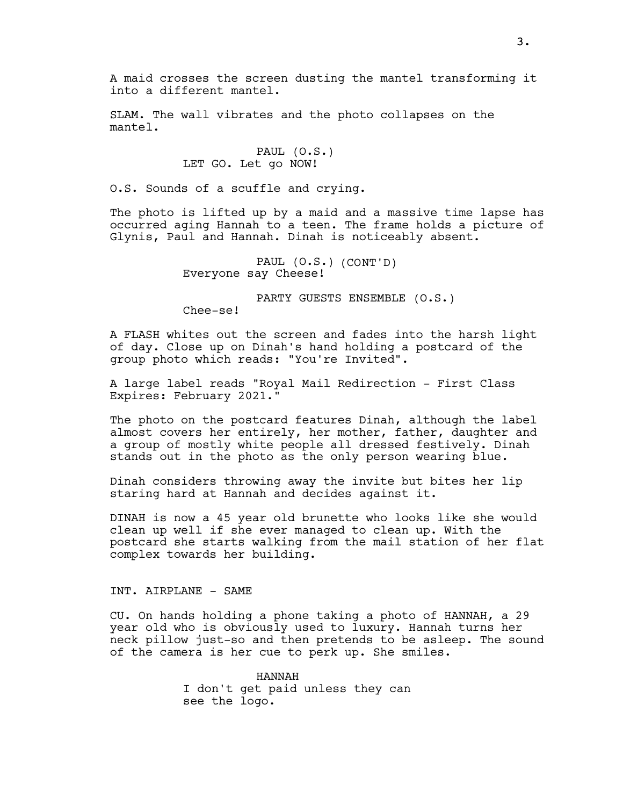SLAM. The wall vibrates and the photo collapses on the mantel.

> PAUL (O.S.) LET GO. Let go NOW!

O.S. Sounds of a scuffle and crying.

The photo is lifted up by a maid and a massive time lapse has occurred aging Hannah to a teen. The frame holds a picture of Glynis, Paul and Hannah. Dinah is noticeably absent.

> PAUL (O.S.) (CONT'D) Everyone say Cheese!

> > PARTY GUESTS ENSEMBLE (O.S.)

Chee-se!

A FLASH whites out the screen and fades into the harsh light of day. Close up on Dinah's hand holding a postcard of the group photo which reads: "You're Invited".

A large label reads "Royal Mail Redirection - First Class Expires: February 2021."

The photo on the postcard features Dinah, although the label almost covers her entirely, her mother, father, daughter and a group of mostly white people all dressed festively. Dinah stands out in the photo as the only person wearing blue.

Dinah considers throwing away the invite but bites her lip staring hard at Hannah and decides against it.

DINAH is now a 45 year old brunette who looks like she would clean up well if she ever managed to clean up. With the postcard she starts walking from the mail station of her flat complex towards her building.

## INT. AIRPLANE - SAME

CU. On hands holding a phone taking a photo of HANNAH, a 29 year old who is obviously used to luxury. Hannah turns her neck pillow just-so and then pretends to be asleep. The sound of the camera is her cue to perk up. She smiles.

> HANNAH I don't get paid unless they can see the logo.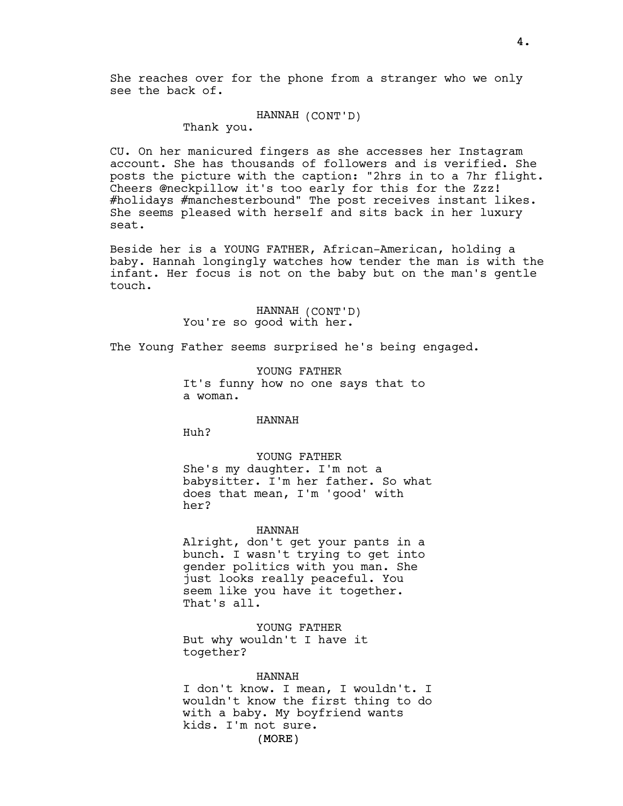She reaches over for the phone from a stranger who we only see the back of.

## HANNAH (CONT'D)

Thank you.

CU. On her manicured fingers as she accesses her Instagram account. She has thousands of followers and is verified. She posts the picture with the caption: "2hrs in to a 7hr flight. Cheers @neckpillow it's too early for this for the Zzz! #holidays #manchesterbound" The post receives instant likes. She seems pleased with herself and sits back in her luxury seat.

Beside her is a YOUNG FATHER, African-American, holding a baby. Hannah longingly watches how tender the man is with the infant. Her focus is not on the baby but on the man's gentle touch.

> HANNAH (CONT'D) You're so good with her.

The Young Father seems surprised he's being engaged.

YOUNG FATHER It's funny how no one says that to a woman.

## HANNAH

Huh?

#### YOUNG FATHER

She's my daughter. I'm not a babysitter. I'm her father. So what does that mean, I'm 'good' with her?

#### HANNAH

Alright, don't get your pants in a bunch. I wasn't trying to get into gender politics with you man. She just looks really peaceful. You seem like you have it together. That's all.

YOUNG FATHER But why wouldn't I have it together?

#### HANNAH

(MORE) I don't know. I mean, I wouldn't. I wouldn't know the first thing to do with a baby. My boyfriend wants kids. I'm not sure.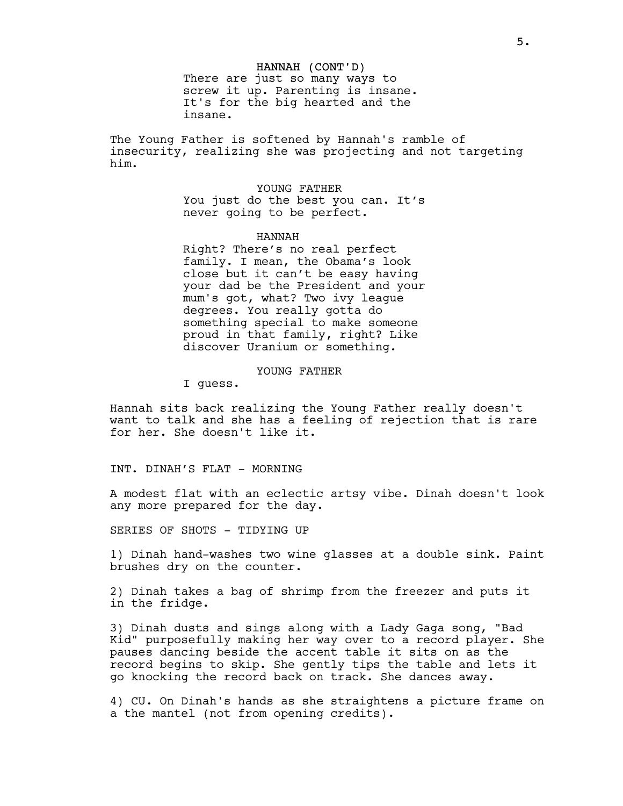#### HANNAH (CONT'D)

There are just so many ways to screw it up. Parenting is insane. It's for the big hearted and the insane.

The Young Father is softened by Hannah's ramble of insecurity, realizing she was projecting and not targeting him.

> YOUNG FATHER You just do the best you can. It's never going to be perfect.

> > HANNAH

Right? There's no real perfect family. I mean, the Obama's look close but it can't be easy having your dad be the President and your mum's got, what? Two ivy league degrees. You really gotta do something special to make someone proud in that family, right? Like discover Uranium or something.

YOUNG FATHER

I guess.

Hannah sits back realizing the Young Father really doesn't want to talk and she has a feeling of rejection that is rare for her. She doesn't like it.

INT. DINAH'S FLAT - MORNING

A modest flat with an eclectic artsy vibe. Dinah doesn't look any more prepared for the day.

SERIES OF SHOTS - TIDYING UP

1) Dinah hand-washes two wine glasses at a double sink. Paint brushes dry on the counter.

2) Dinah takes a bag of shrimp from the freezer and puts it in the fridge.

3) Dinah dusts and sings along with a Lady Gaga song, "Bad Kid" purposefully making her way over to a record player. She pauses dancing beside the accent table it sits on as the record begins to skip. She gently tips the table and lets it go knocking the record back on track. She dances away.

4) CU. On Dinah's hands as she straightens a picture frame on a the mantel (not from opening credits).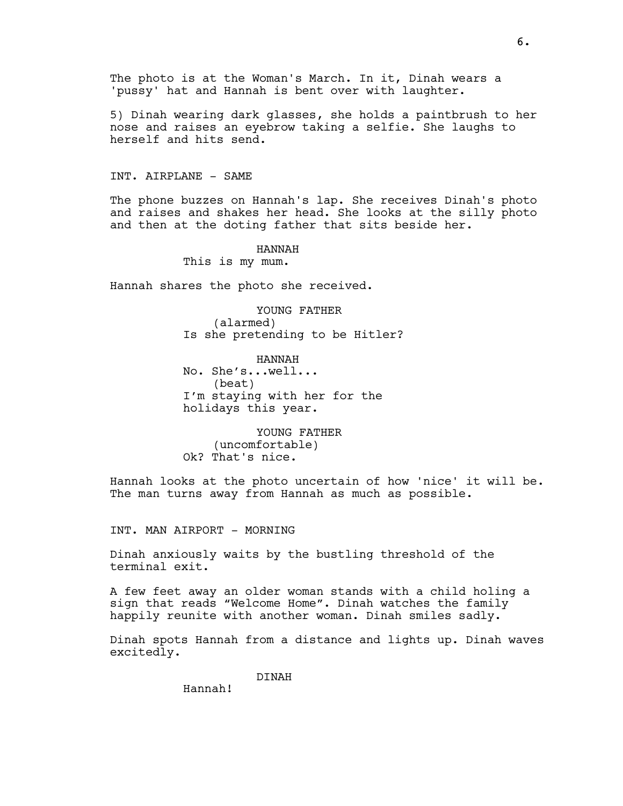The photo is at the Woman's March. In it, Dinah wears a 'pussy' hat and Hannah is bent over with laughter.

5) Dinah wearing dark glasses, she holds a paintbrush to her nose and raises an eyebrow taking a selfie. She laughs to herself and hits send.

## INT. AIRPLANE - SAME

The phone buzzes on Hannah's lap. She receives Dinah's photo and raises and shakes her head. She looks at the silly photo and then at the doting father that sits beside her.

HANNAH

This is my mum.

Hannah shares the photo she received.

YOUNG FATHER (alarmed) Is she pretending to be Hitler?

HANNAH No. She's...well... (beat) I'm staying with her for the holidays this year.

YOUNG FATHER (uncomfortable) Ok? That's nice.

Hannah looks at the photo uncertain of how 'nice' it will be. The man turns away from Hannah as much as possible.

INT. MAN AIRPORT - MORNING

Dinah anxiously waits by the bustling threshold of the terminal exit.

A few feet away an older woman stands with a child holing a sign that reads "Welcome Home". Dinah watches the family happily reunite with another woman. Dinah smiles sadly.

Dinah spots Hannah from a distance and lights up. Dinah waves excitedly.

DINAH

Hannah!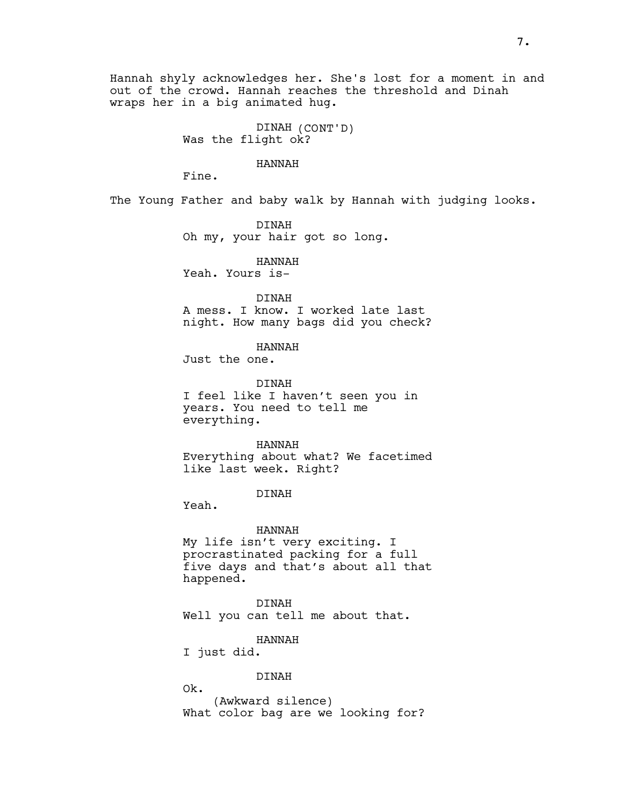Hannah shyly acknowledges her. She's lost for a moment in and out of the crowd. Hannah reaches the threshold and Dinah wraps her in a big animated hug.

> DINAH (CONT'D) Was the flight ok?

> > HANNAH

Fine.

The Young Father and baby walk by Hannah with judging looks.

DINAH Oh my, your hair got so long.

HANNAH Yeah. Yours is-

DINAH A mess. I know. I worked late last

night. How many bags did you check?

HANNAH

Just the one.

DINAH I feel like I haven't seen you in years. You need to tell me everything.

HANNAH Everything about what? We facetimed

DINAH

like last week. Right?

Yeah.

HANNAH My life isn't very exciting. I procrastinated packing for a full five days and that's about all that happened.

DINAH Well you can tell me about that.

HANNAH

I just did.

#### DINAH

Ok. (Awkward silence) What color bag are we looking for?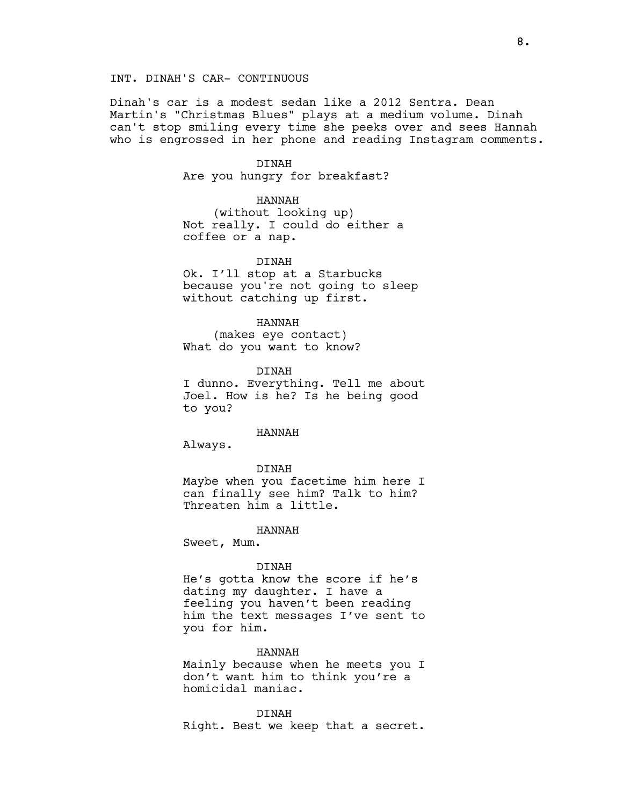## INT. DINAH'S CAR- CONTINUOUS

Dinah's car is a modest sedan like a 2012 Sentra. Dean Martin's "Christmas Blues" plays at a medium volume. Dinah can't stop smiling every time she peeks over and sees Hannah who is engrossed in her phone and reading Instagram comments.

#### DINAH

Are you hungry for breakfast?

#### HANNAH

(without looking up) Not really. I could do either a coffee or a nap.

## DINAH

Ok. I'll stop at a Starbucks because you're not going to sleep without catching up first.

#### HANNAH

(makes eye contact) What do you want to know?

DINAH I dunno. Everything. Tell me about Joel. How is he? Is he being good to you?

#### HANNAH

Always.

#### DINAH

Maybe when you facetime him here I can finally see him? Talk to him? Threaten him a little.

HANNAH

Sweet, Mum.

#### DINAH

He's gotta know the score if he's dating my daughter. I have a feeling you haven't been reading him the text messages I've sent to you for him.

#### HANNAH

Mainly because when he meets you I don't want him to think you're a homicidal maniac.

DINAH Right. Best we keep that a secret.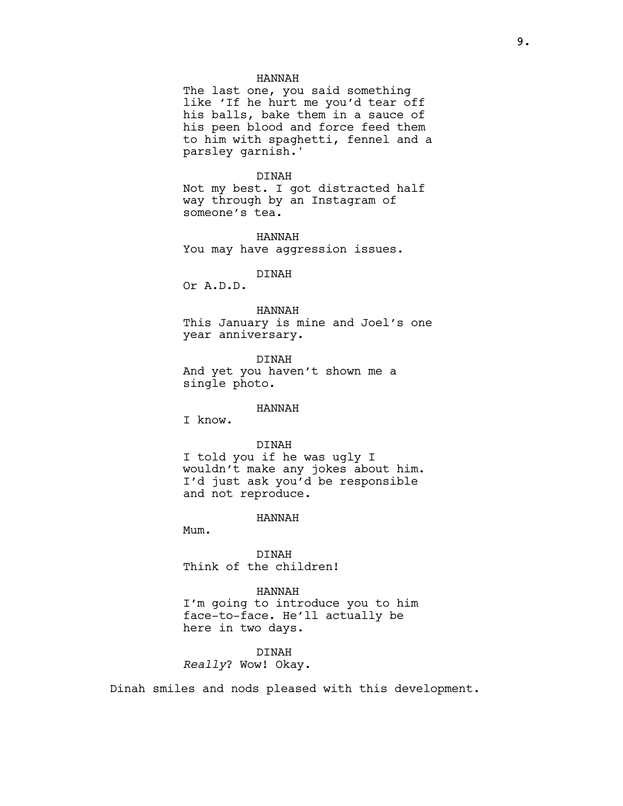#### HANNAH

The last one, you said something like 'If he hurt me you'd tear off his balls, bake them in a sauce of his peen blood and force feed them to him with spaghetti, fennel and a parsley garnish.'

#### DINAH

Not my best. I got distracted half way through by an Instagram of someone's tea.

HANNAH You may have aggression issues.

## DINAH

Or A.D.D.

## HANNAH

This January is mine and Joel's one year anniversary.

DINAH And yet you haven't shown me a single photo.

#### HANNAH

I know.

#### DINAH

I told you if he was ugly I wouldn't make any jokes about him. I'd just ask you'd be responsible and not reproduce.

#### HANNAH

Mum.

DINAH Think of the children!

## HANNAH

I'm going to introduce you to him face-to-face. He'll actually be here in two days.

# DINAH

Really? Wow! Okay.

Dinah smiles and nods pleased with this development.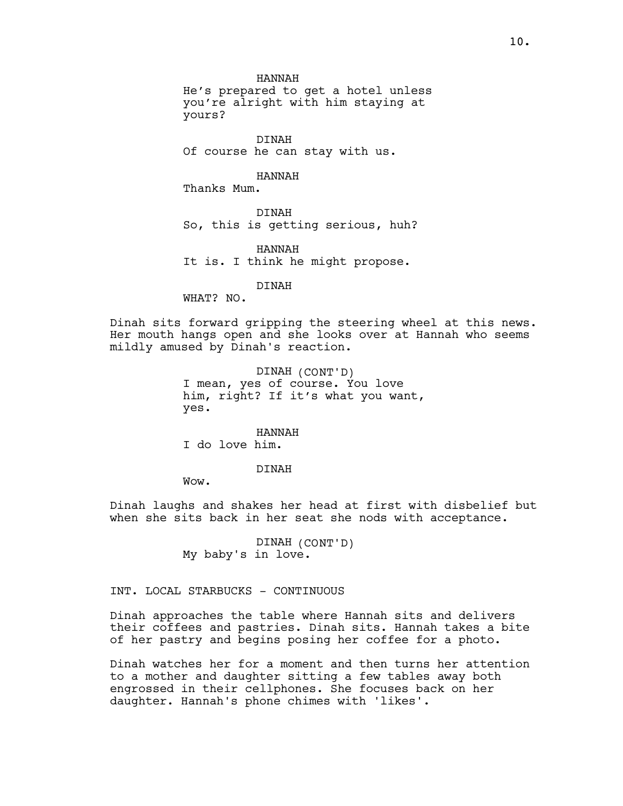HANNAH

He's prepared to get a hotel unless you're alright with him staying at yours?

DINAH Of course he can stay with us.

HANNAH

Thanks Mum.

DINAH So, this is getting serious, huh?

HANNAH It is. I think he might propose.

DINAH

WHAT? NO.

Dinah sits forward gripping the steering wheel at this news. Her mouth hangs open and she looks over at Hannah who seems mildly amused by Dinah's reaction.

> DINAH (CONT'D) I mean, yes of course. You love him, right? If it's what you want, yes.

HANNAH I do love him.

DINAH

Wow.

Dinah laughs and shakes her head at first with disbelief but when she sits back in her seat she nods with acceptance.

> DINAH (CONT'D) My baby's in love.

INT. LOCAL STARBUCKS - CONTINUOUS

Dinah approaches the table where Hannah sits and delivers their coffees and pastries. Dinah sits. Hannah takes a bite of her pastry and begins posing her coffee for a photo.

Dinah watches her for a moment and then turns her attention to a mother and daughter sitting a few tables away both engrossed in their cellphones. She focuses back on her daughter. Hannah's phone chimes with 'likes'.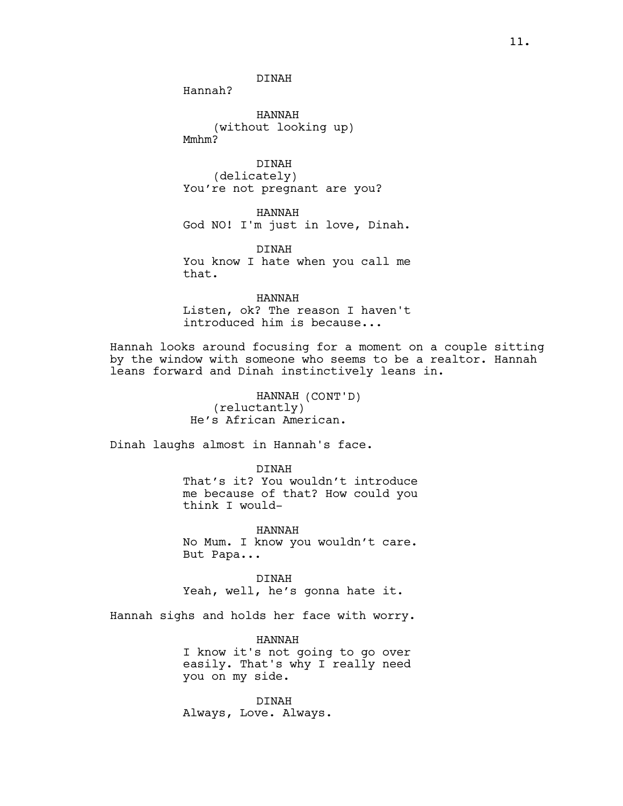DINAH

Hannah?

HANNAH (without looking up) Mmhm?

DINAH (delicately) You're not pregnant are you?

HANNAH God NO! I'm just in love, Dinah.

DINAH You know I hate when you call me that.

HANNAH Listen, ok? The reason I haven't introduced him is because...

Hannah looks around focusing for a moment on a couple sitting by the window with someone who seems to be a realtor. Hannah leans forward and Dinah instinctively leans in.

> HANNAH (CONT'D) (reluctantly) He's African American.

Dinah laughs almost in Hannah's face.

DINAH That's it? You wouldn't introduce me because of that? How could you think I would-

HANNAH No Mum. I know you wouldn't care. But Papa...

DINAH Yeah, well, he's gonna hate it.

Hannah sighs and holds her face with worry.

HANNAH I know it's not going to go over easily. That's why I really need you on my side.

DINAH Always, Love. Always.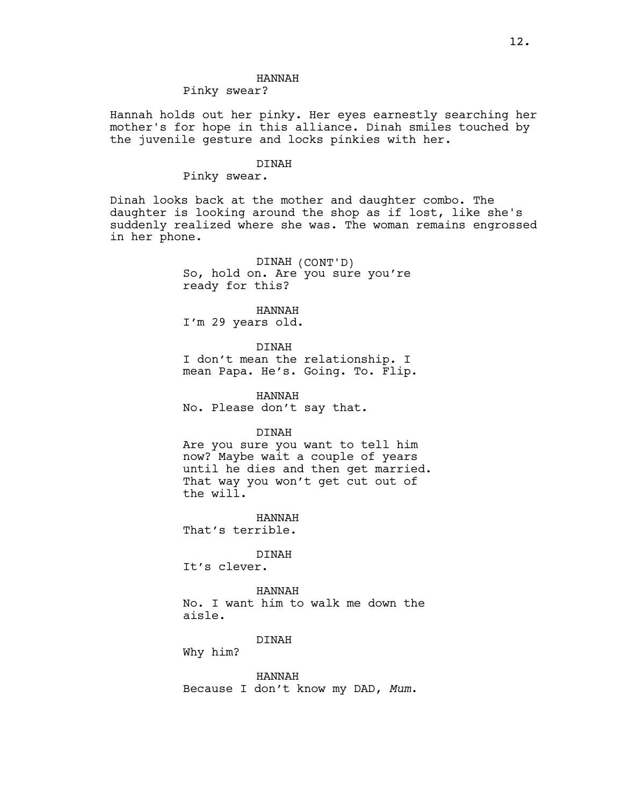## HANNAH

## Pinky swear?

Hannah holds out her pinky. Her eyes earnestly searching her mother's for hope in this alliance. Dinah smiles touched by the juvenile gesture and locks pinkies with her.

#### DINAH

## Pinky swear.

Dinah looks back at the mother and daughter combo. The daughter is looking around the shop as if lost, like she's suddenly realized where she was. The woman remains engrossed in her phone.

> DINAH (CONT'D) So, hold on. Are you sure you're ready for this?

> > HANNAH

I'm 29 years old.

DINAH

I don't mean the relationship. I mean Papa. He's. Going. To. Flip.

HANNAH No. Please don't say that.

#### DINAH

Are you sure you want to tell him now? Maybe wait a couple of years until he dies and then get married. That way you won't get cut out of the will.

HANNAH That's terrible.

DINAH It's clever.

HANNAH No. I want him to walk me down the aisle.

DINAH

Why him?

HANNAH Because I don't know my DAD, Mum.